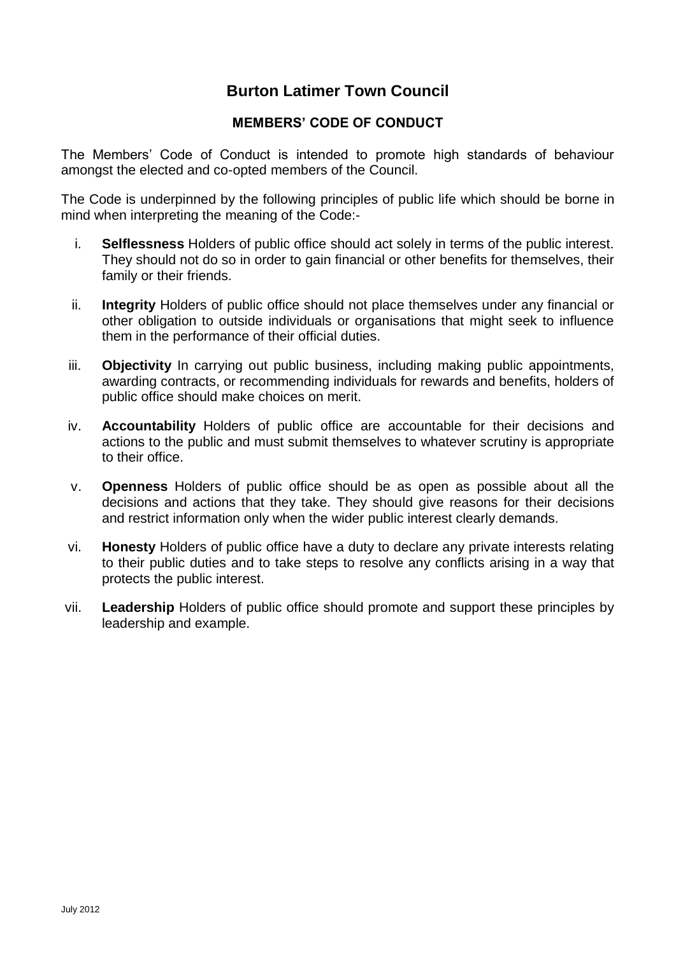# **Burton Latimer Town Council**

### **MEMBERS' CODE OF CONDUCT**

The Members' Code of Conduct is intended to promote high standards of behaviour amongst the elected and co-opted members of the Council.

The Code is underpinned by the following principles of public life which should be borne in mind when interpreting the meaning of the Code:-

- i. **Selflessness** Holders of public office should act solely in terms of the public interest. They should not do so in order to gain financial or other benefits for themselves, their family or their friends.
- ii. **Integrity** Holders of public office should not place themselves under any financial or other obligation to outside individuals or organisations that might seek to influence them in the performance of their official duties.
- iii. **Objectivity** In carrying out public business, including making public appointments, awarding contracts, or recommending individuals for rewards and benefits, holders of public office should make choices on merit.
- iv. **Accountability** Holders of public office are accountable for their decisions and actions to the public and must submit themselves to whatever scrutiny is appropriate to their office.
- v. **Openness** Holders of public office should be as open as possible about all the decisions and actions that they take. They should give reasons for their decisions and restrict information only when the wider public interest clearly demands.
- vi. **Honesty** Holders of public office have a duty to declare any private interests relating to their public duties and to take steps to resolve any conflicts arising in a way that protects the public interest.
- vii. **Leadership** Holders of public office should promote and support these principles by leadership and example.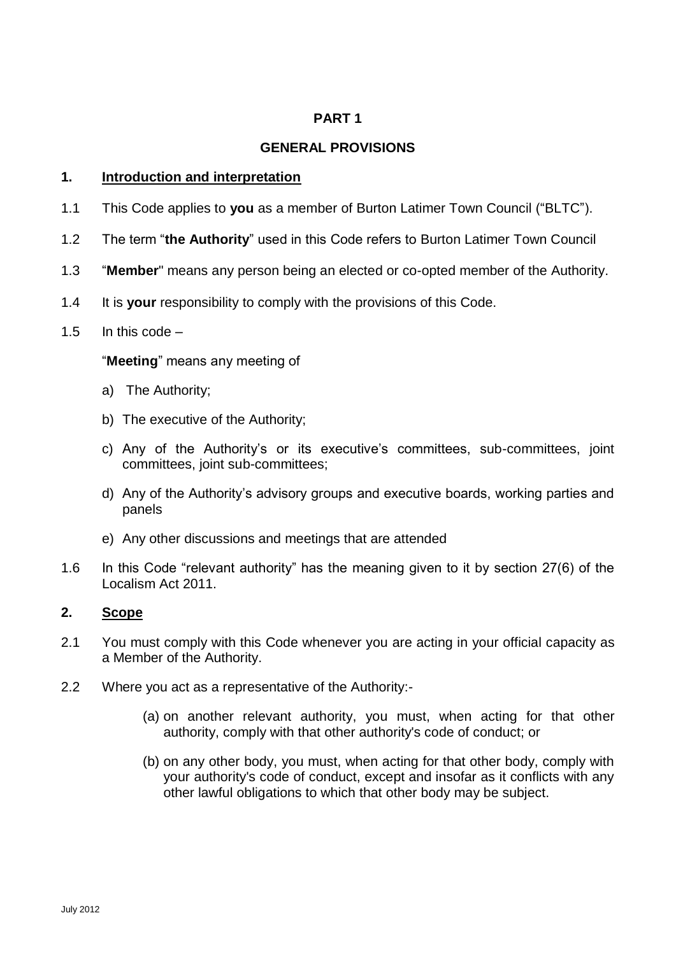### **PART 1**

### **GENERAL PROVISIONS**

#### **1. Introduction and interpretation**

- 1.1 This Code applies to **you** as a member of Burton Latimer Town Council ("BLTC").
- 1.2 The term "**the Authority**" used in this Code refers to Burton Latimer Town Council
- 1.3 "**Member**" means any person being an elected or co-opted member of the Authority.
- 1.4 It is **your** responsibility to comply with the provisions of this Code.

#### 1.5 In this code –

#### "**Meeting**" means any meeting of

- a) The Authority;
- b) The executive of the Authority;
- c) Any of the Authority's or its executive's committees, sub-committees, joint committees, joint sub-committees;
- d) Any of the Authority's advisory groups and executive boards, working parties and panels
- e) Any other discussions and meetings that are attended
- 1.6 In this Code "relevant authority" has the meaning given to it by section 27(6) of the Localism Act 2011.

#### **2. Scope**

- 2.1 You must comply with this Code whenever you are acting in your official capacity as a Member of the Authority.
- 2.2 Where you act as a representative of the Authority:-
	- (a) on another relevant authority, you must, when acting for that other authority, comply with that other authority's code of conduct; or
	- (b) on any other body, you must, when acting for that other body, comply with your authority's code of conduct, except and insofar as it conflicts with any other lawful obligations to which that other body may be subject.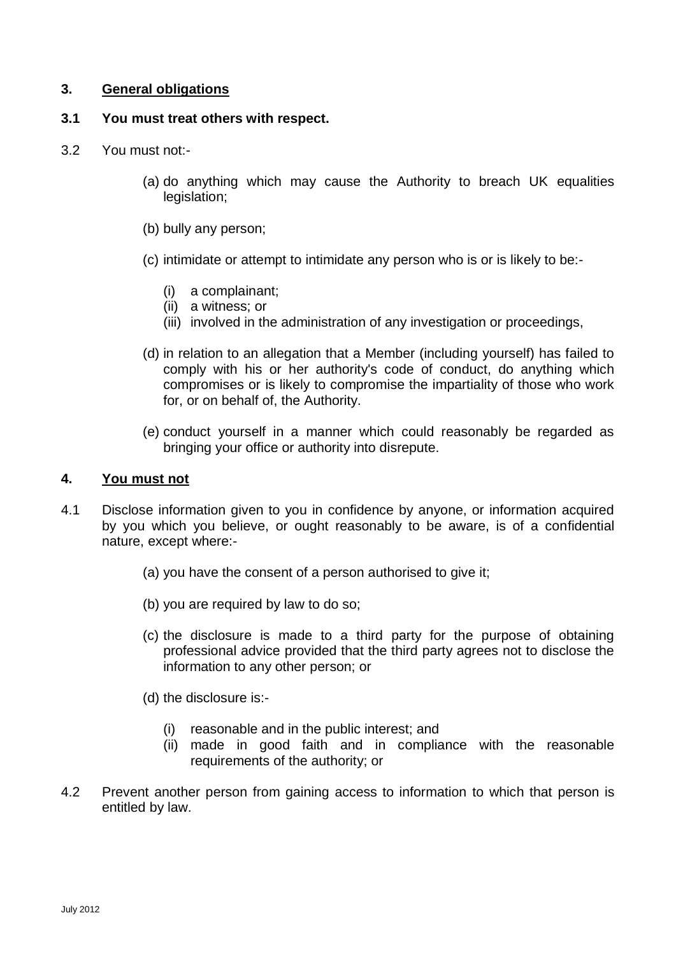### **3. General obligations**

# **3.1 You must treat others with respect.**

- 3.2 You must not:-
	- (a) do anything which may cause the Authority to breach UK equalities legislation;
	- (b) bully any person;
	- (c) intimidate or attempt to intimidate any person who is or is likely to be:-
		- (i) a complainant;
		- (ii) a witness; or
		- (iii) involved in the administration of any investigation or proceedings,
	- (d) in relation to an allegation that a Member (including yourself) has failed to comply with his or her authority's code of conduct, do anything which compromises or is likely to compromise the impartiality of those who work for, or on behalf of, the Authority.
	- (e) conduct yourself in a manner which could reasonably be regarded as bringing your office or authority into disrepute.

# **4. You must not**

- 4.1 Disclose information given to you in confidence by anyone, or information acquired by you which you believe, or ought reasonably to be aware, is of a confidential nature, except where:-
	- (a) you have the consent of a person authorised to give it;
	- (b) you are required by law to do so;
	- (c) the disclosure is made to a third party for the purpose of obtaining professional advice provided that the third party agrees not to disclose the information to any other person; or
	- (d) the disclosure is:-
		- (i) reasonable and in the public interest; and
		- (ii) made in good faith and in compliance with the reasonable requirements of the authority; or
- 4.2 Prevent another person from gaining access to information to which that person is entitled by law.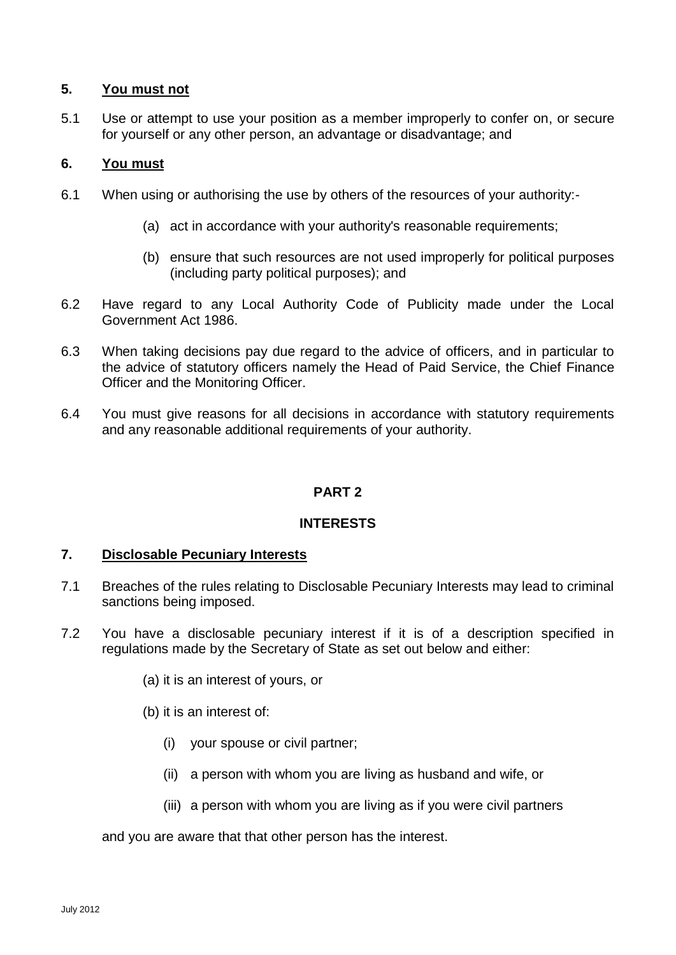### **5. You must not**

5.1 Use or attempt to use your position as a member improperly to confer on, or secure for yourself or any other person, an advantage or disadvantage; and

### **6. You must**

- 6.1 When using or authorising the use by others of the resources of your authority:-
	- (a) act in accordance with your authority's reasonable requirements;
	- (b) ensure that such resources are not used improperly for political purposes (including party political purposes); and
- 6.2 Have regard to any Local Authority Code of Publicity made under the Local Government Act 1986.
- 6.3 When taking decisions pay due regard to the advice of officers, and in particular to the advice of statutory officers namely the Head of Paid Service, the Chief Finance Officer and the Monitoring Officer.
- 6.4 You must give reasons for all decisions in accordance with statutory requirements and any reasonable additional requirements of your authority.

### **PART 2**

### **INTERESTS**

#### **7. Disclosable Pecuniary Interests**

- 7.1 Breaches of the rules relating to Disclosable Pecuniary Interests may lead to criminal sanctions being imposed.
- 7.2 You have a disclosable pecuniary interest if it is of a description specified in regulations made by the Secretary of State as set out below and either:
	- (a) it is an interest of yours, or
	- (b) it is an interest of:
		- (i) your spouse or civil partner;
		- (ii) a person with whom you are living as husband and wife, or
		- (iii) a person with whom you are living as if you were civil partners

and you are aware that that other person has the interest.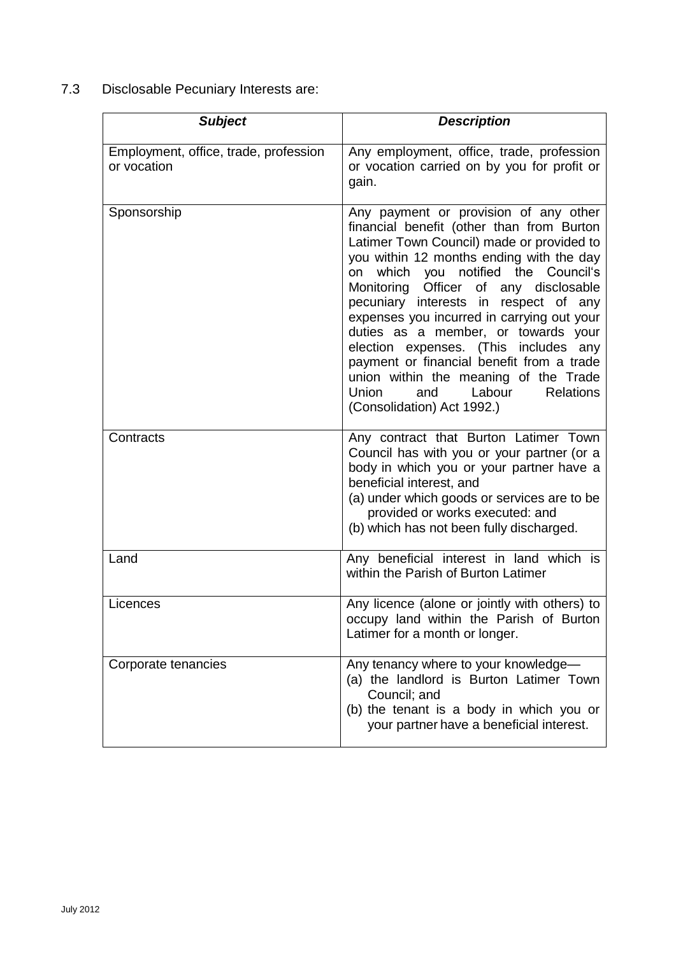7.3 Disclosable Pecuniary Interests are:

| <b>Subject</b>                                       | <b>Description</b>                                                                                                                                                                                                                                                                                                                                                                                                                                                                                                                                                                                            |
|------------------------------------------------------|---------------------------------------------------------------------------------------------------------------------------------------------------------------------------------------------------------------------------------------------------------------------------------------------------------------------------------------------------------------------------------------------------------------------------------------------------------------------------------------------------------------------------------------------------------------------------------------------------------------|
| Employment, office, trade, profession<br>or vocation | Any employment, office, trade, profession<br>or vocation carried on by you for profit or<br>gain.                                                                                                                                                                                                                                                                                                                                                                                                                                                                                                             |
| Sponsorship                                          | Any payment or provision of any other<br>financial benefit (other than from Burton<br>Latimer Town Council) made or provided to<br>you within 12 months ending with the day<br>which you notified the Council's<br>on<br>Monitoring<br>Officer<br>of any disclosable<br>pecuniary interests in respect of any<br>expenses you incurred in carrying out your<br>duties as a member, or towards your<br>election expenses. (This includes any<br>payment or financial benefit from a trade<br>union within the meaning of the Trade<br>Labour<br><b>Relations</b><br>Union<br>and<br>(Consolidation) Act 1992.) |
| Contracts                                            | Any contract that Burton Latimer Town<br>Council has with you or your partner (or a<br>body in which you or your partner have a<br>beneficial interest, and<br>(a) under which goods or services are to be<br>provided or works executed: and<br>(b) which has not been fully discharged.                                                                                                                                                                                                                                                                                                                     |
| Land                                                 | Any beneficial interest in land which is<br>within the Parish of Burton Latimer                                                                                                                                                                                                                                                                                                                                                                                                                                                                                                                               |
| Licences                                             | Any licence (alone or jointly with others) to<br>occupy land within the Parish of Burton<br>Latimer for a month or longer.                                                                                                                                                                                                                                                                                                                                                                                                                                                                                    |
| Corporate tenancies                                  | Any tenancy where to your knowledge-<br>(a) the landlord is Burton Latimer Town<br>Council; and<br>(b) the tenant is a body in which you or<br>your partner have a beneficial interest.                                                                                                                                                                                                                                                                                                                                                                                                                       |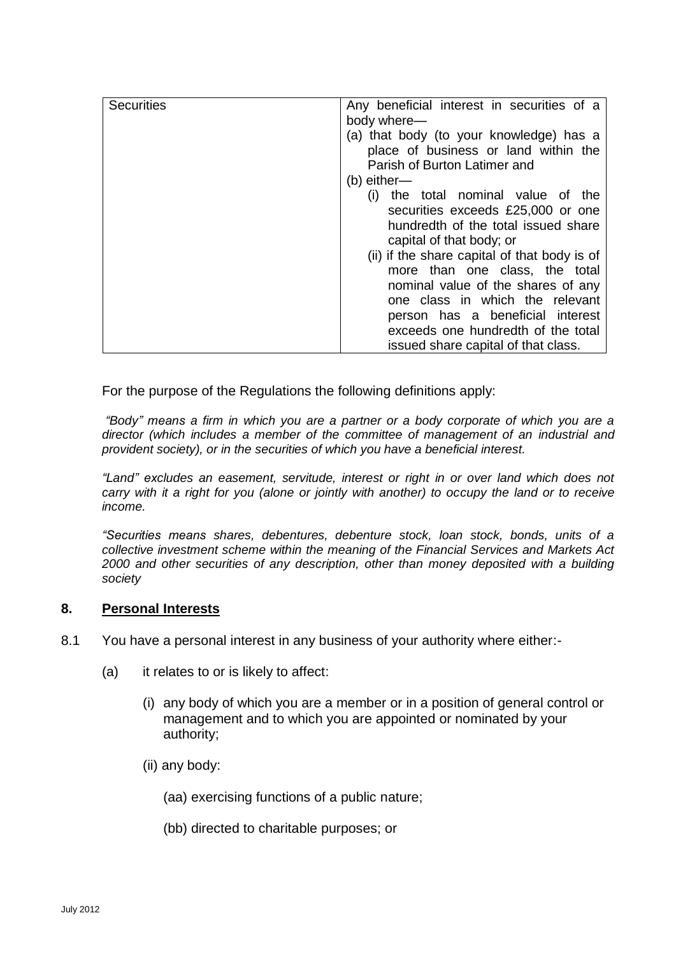| <b>Securities</b> | Any beneficial interest in securities of a                                                                      |
|-------------------|-----------------------------------------------------------------------------------------------------------------|
|                   | body where-                                                                                                     |
|                   | (a) that body (to your knowledge) has a<br>place of business or land within the<br>Parish of Burton Latimer and |
|                   | $(b)$ either-                                                                                                   |
|                   | the total nominal value of the<br>(1)                                                                           |
|                   | securities exceeds £25,000 or one                                                                               |
|                   | hundredth of the total issued share                                                                             |
|                   | capital of that body; or                                                                                        |
|                   | (ii) if the share capital of that body is of                                                                    |
|                   | more than one class, the total                                                                                  |
|                   | nominal value of the shares of any                                                                              |
|                   | one class in which the relevant                                                                                 |
|                   | person has a beneficial interest                                                                                |
|                   | exceeds one hundredth of the total                                                                              |
|                   | issued share capital of that class.                                                                             |

For the purpose of the Regulations the following definitions apply:

*"Body" means a firm in which you are a partner or a body corporate of which you are a director (which includes a member of the committee of management of an industrial and provident society), or in the securities of which you have a beneficial interest.* 

*"Land" excludes an easement, servitude, interest or right in or over land which does not carry with it a right for you (alone or jointly with another) to occupy the land or to receive income.* 

*"Securities means shares, debentures, debenture stock, loan stock, bonds, units of a collective investment scheme within the meaning of the Financial Services and Markets Act 2000 and other securities of any description, other than money deposited with a building society* 

#### **8. Personal Interests**

- 8.1 You have a personal interest in any business of your authority where either:-
	- (a) it relates to or is likely to affect:
		- (i) any body of which you are a member or in a position of general control or management and to which you are appointed or nominated by your authority;
		- (ii) any body:

(aa) exercising functions of a public nature;

(bb) directed to charitable purposes; or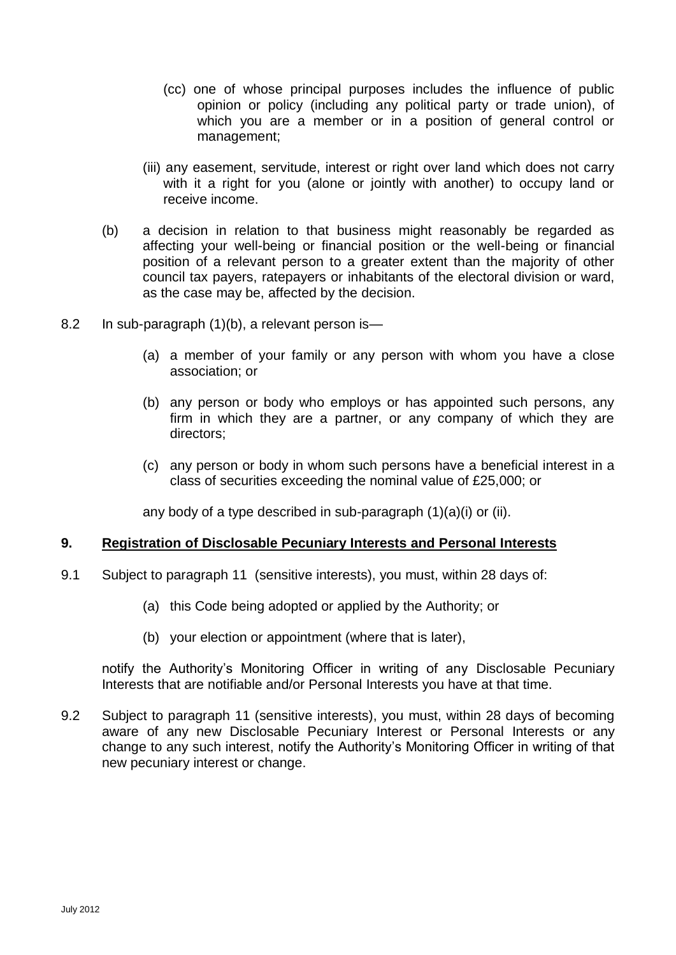- (cc) one of whose principal purposes includes the influence of public opinion or policy (including any political party or trade union), of which you are a member or in a position of general control or management;
- (iii) any easement, servitude, interest or right over land which does not carry with it a right for you (alone or jointly with another) to occupy land or receive income.
- (b) a decision in relation to that business might reasonably be regarded as affecting your well-being or financial position or the well-being or financial position of a relevant person to a greater extent than the majority of other council tax payers, ratepayers or inhabitants of the electoral division or ward, as the case may be, affected by the decision.
- 8.2 In sub-paragraph (1)(b), a relevant person is—
	- (a) a member of your family or any person with whom you have a close association; or
	- (b) any person or body who employs or has appointed such persons, any firm in which they are a partner, or any company of which they are directors;
	- (c) any person or body in whom such persons have a beneficial interest in a class of securities exceeding the nominal value of £25,000; or

any body of a type described in sub-paragraph (1)(a)(i) or (ii).

#### **9. Registration of Disclosable Pecuniary Interests and Personal Interests**

- 9.1 Subject to paragraph 11 (sensitive interests), you must, within 28 days of:
	- (a) this Code being adopted or applied by the Authority; or
	- (b) your election or appointment (where that is later),

notify the Authority's Monitoring Officer in writing of any Disclosable Pecuniary Interests that are notifiable and/or Personal Interests you have at that time.

9.2 Subject to paragraph 11 (sensitive interests), you must, within 28 days of becoming aware of any new Disclosable Pecuniary Interest or Personal Interests or any change to any such interest, notify the Authority's Monitoring Officer in writing of that new pecuniary interest or change.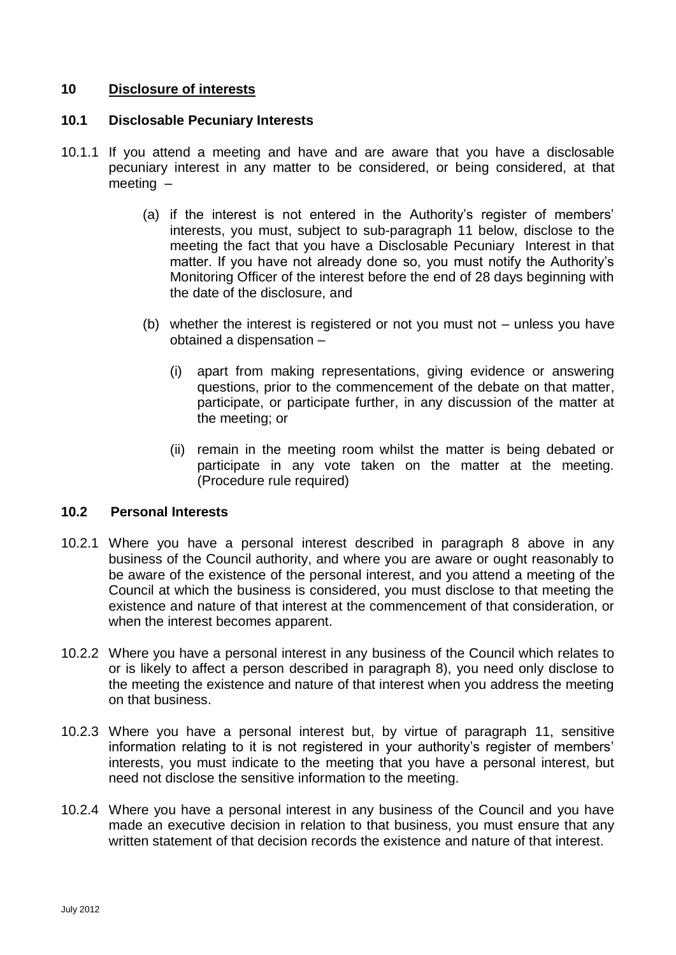### **10 Disclosure of interests**

### **10.1 Disclosable Pecuniary Interests**

- <span id="page-7-0"></span>10.1.1 If you attend a meeting and have and are aware that you have a disclosable pecuniary interest in any matter to be considered, or being considered, at that meeting –
	- (a) if the interest is not entered in the Authority's register of members' interests, you must, subject to sub-paragraph 11 below, disclose to the meeting the fact that you have a Disclosable Pecuniary Interest in that matter. If you have not already done so, you must notify the Authority's Monitoring Officer of the interest before the end of 28 days beginning with the date of the disclosure, and
	- (b) whether the interest is registered or not you must not unless you have obtained a dispensation –
		- (i) apart from making representations, giving evidence or answering questions, prior to the commencement of the debate on that matter, participate, or participate further, in any discussion of the matter at the meeting; or
		- (ii) remain in the meeting room whilst the matter is being debated or participate in any vote taken on the matter at the meeting. (Procedure rule required)

#### **10.2 Personal Interests**

- 10.2.1 Where you have a personal interest described in paragraph 8 above in any business of the Council authority, and where you are aware or ought reasonably to be aware of the existence of the personal interest, and you attend a meeting of the Council at which the business is considered, you must disclose to that meeting the existence and nature of that interest at the commencement of that consideration, or when the interest becomes apparent.
- 10.2.2 Where you have a personal interest in any business of the Council which relates to or is likely to affect a person described in paragraph 8), you need only disclose to the meeting the existence and nature of that interest when you address the meeting on that business.
- 10.2.3 Where you have a personal interest but, by virtue of paragraph 11, sensitive information relating to it is not registered in your authority's register of members' interests, you must indicate to the meeting that you have a personal interest, but need not disclose the sensitive information to the meeting.
- 10.2.4 Where you have a personal interest in any business of the Council and you have made an executive decision in relation to that business, you must ensure that any written statement of that decision records the existence and nature of that interest.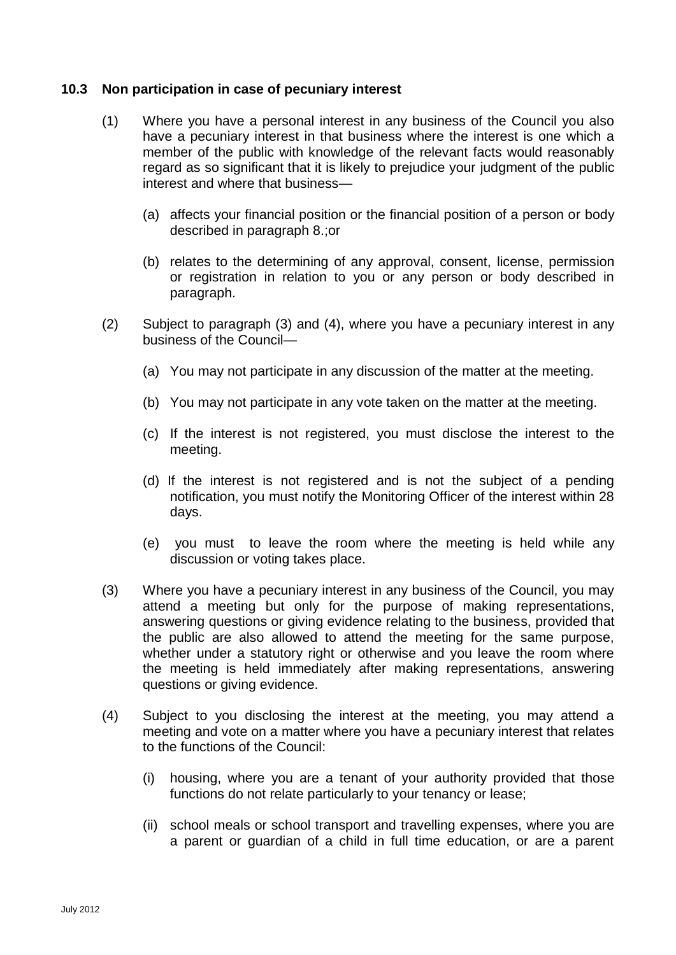### **10.3 Non participation in case of pecuniary interest**

- (1) Where you have a personal interest in any business of the Council you also have a pecuniary interest in that business where the interest is one which a member of the public with knowledge of the relevant facts would reasonably regard as so significant that it is likely to prejudice your judgment of the public interest and where that business—
	- (a) affects your financial position or the financial position of a person or body described in paragraph 8.;or
	- (b) relates to the determining of any approval, consent, license, permission or registration in relation to you or any person or body described in paragraph.
- (2) Subject to paragraph (3) and (4), where you have a pecuniary interest in any business of the Council—
	- (a) You may not participate in any discussion of the matter at the meeting.
	- (b) You may not participate in any vote taken on the matter at the meeting.
	- (c) If the interest is not registered, you must disclose the interest to the meeting.
	- (d) If the interest is not registered and is not the subject of a pending notification, you must notify the Monitoring Officer of the interest within 28 days.
	- (e) you must to leave the room where the meeting is held while any discussion or voting takes place.
- (3) Where you have a pecuniary interest in any business of the Council, you may attend a meeting but only for the purpose of making representations, answering questions or giving evidence relating to the business, provided that the public are also allowed to attend the meeting for the same purpose, whether under a statutory right or otherwise and you leave the room where the meeting is held immediately after making representations, answering questions or giving evidence.
- (4) Subject to you disclosing the interest at the meeting, you may attend a meeting and vote on a matter where you have a pecuniary interest that relates to the functions of the Council:
	- (i) housing, where you are a tenant of your authority provided that those functions do not relate particularly to your tenancy or lease;
	- (ii) school meals or school transport and travelling expenses, where you are a parent or guardian of a child in full time education, or are a parent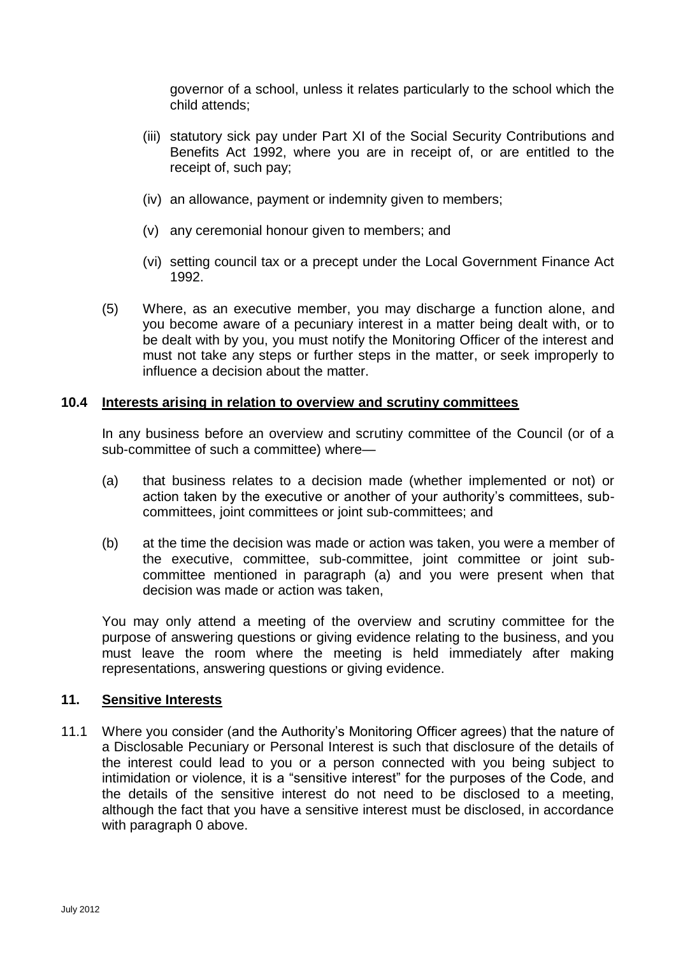governor of a school, unless it relates particularly to the school which the child attends;

- (iii) statutory sick pay under Part XI of the Social Security Contributions and Benefits Act 1992, where you are in receipt of, or are entitled to the receipt of, such pay;
- (iv) an allowance, payment or indemnity given to members;
- (v) any ceremonial honour given to members; and
- (vi) setting council tax or a precept under the Local Government Finance Act 1992.
- (5) Where, as an executive member, you may discharge a function alone, and you become aware of a pecuniary interest in a matter being dealt with, or to be dealt with by you, you must notify the Monitoring Officer of the interest and must not take any steps or further steps in the matter, or seek improperly to influence a decision about the matter.

### **10.4 Interests arising in relation to overview and scrutiny committees**

In any business before an overview and scrutiny committee of the Council (or of a sub-committee of such a committee) where—

- (a) that business relates to a decision made (whether implemented or not) or action taken by the executive or another of your authority's committees, subcommittees, joint committees or joint sub-committees; and
- (b) at the time the decision was made or action was taken, you were a member of the executive, committee, sub-committee, joint committee or joint subcommittee mentioned in paragraph (a) and you were present when that decision was made or action was taken,

You may only attend a meeting of the overview and scrutiny committee for the purpose of answering questions or giving evidence relating to the business, and you must leave the room where the meeting is held immediately after making representations, answering questions or giving evidence.

#### **11. Sensitive Interests**

11.1 Where you consider (and the Authority's Monitoring Officer agrees) that the nature of a Disclosable Pecuniary or Personal Interest is such that disclosure of the details of the interest could lead to you or a person connected with you being subject to intimidation or violence, it is a "sensitive interest" for the purposes of the Code, and the details of the sensitive interest do not need to be disclosed to a meeting, although the fact that you have a sensitive interest must be disclosed, in accordance with paragraph [0 above.](#page-7-0)